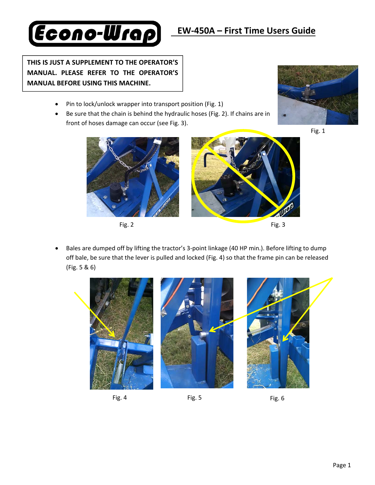## **THIS IS JUST A SUPPLEMENT TO THE OPERATOR'S MANUAL. PLEASE REFER TO THE OPERATOR'S MANUAL BEFORE USING THIS MACHINE.**

**Econo-Wrap** 

- Pin to lock/unlock wrapper into transport position (Fig. 1)
- Be sure that the chain is behind the hydraulic hoses (Fig. 2). If chains are in front of hoses damage can occur (see Fig. 3).











 Bales are dumped off by lifting the tractor's 3‐point linkage (40 HP min.). Before lifting to dump off bale, be sure that the lever is pulled and locked (Fig. 4) so that the frame pin can be released (Fig. 5 & 6)





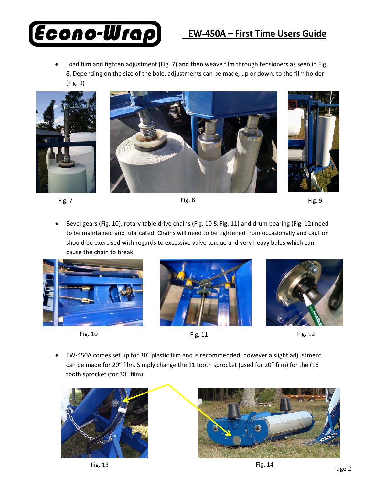## **EW‐450A – First Time Users Guide**



 Load film and tighten adjustment (Fig. 7) and then weave film through tensioners as seen in Fig. 8. Depending on the size of the bale, adjustments can be made, up or down, to the film holder (Fig. 9)









 Bevel gears (Fig. 10), rotary table drive chains (Fig. 10 & Fig. 11) and drum bearing (Fig. 12) need to be maintained and lubricated. Chains will need to be tightened from occasionally and caution should be exercised with regards to excessive valve torque and very heavy bales which can cause the chain to break.





Fig. 10 **Fig. 11** Fig. 11 **Fig. 12** 





• EW‐450A comes set up for 30" plastic film and is recommended, however a slight adjustment can be made for 20" film. Simply change the 11 tooth sprocket (used for 20" film) for the (16 tooth sprocket (for 30" film).